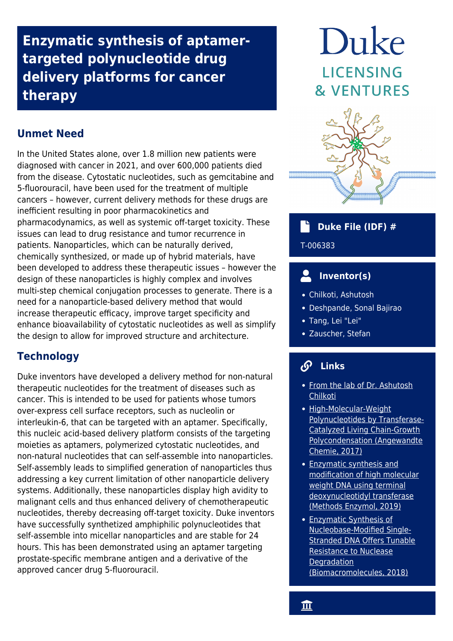**Enzymatic synthesis of aptamertargeted polynucleotide drug delivery platforms for cancer therapy**

# **Unmet Need**

In the United States alone, over 1.8 million new patients were diagnosed with cancer in 2021, and over 600,000 patients died from the disease. Cytostatic nucleotides, such as gemcitabine and 5-fluorouracil, have been used for the treatment of multiple cancers – however, current delivery methods for these drugs are inefficient resulting in poor pharmacokinetics and pharmacodynamics, as well as systemic off-target toxicity. These issues can lead to drug resistance and tumor recurrence in patients. Nanoparticles, which can be naturally derived, chemically synthesized, or made up of hybrid materials, have been developed to address these therapeutic issues – however the design of these nanoparticles is highly complex and involves multi-step chemical conjugation processes to generate. There is a need for a nanoparticle-based delivery method that would increase therapeutic efficacy, improve target specificity and enhance bioavailability of cytostatic nucleotides as well as simplify the design to allow for improved structure and architecture.

# **Technology**

Duke inventors have developed a delivery method for non-natural therapeutic nucleotides for the treatment of diseases such as cancer. This is intended to be used for patients whose tumors over-express cell surface receptors, such as nucleolin or interleukin-6, that can be targeted with an aptamer. Specifically, this nucleic acid-based delivery platform consists of the targeting moieties as aptamers, polymerized cytostatic nucleotides, and non-natural nucleotides that can self-assemble into nanoparticles. Self-assembly leads to simplified generation of nanoparticles thus addressing a key current limitation of other nanoparticle delivery systems. Additionally, these nanoparticles display high avidity to malignant cells and thus enhanced delivery of chemotherapeutic nucleotides, thereby decreasing off-target toxicity. Duke inventors have successfully synthetized amphiphilic polynucleotides that self-assemble into micellar nanoparticles and are stable for 24 hours. This has been demonstrated using an aptamer targeting prostate-specific membrane antigen and a derivative of the approved cancer drug 5-fluorouracil.

# Duke LICENSING **& VENTURES**



## **Duke File (IDF) #**

T-006383

# **Inventor(s)**

- Chilkoti, Ashutosh
- Deshpande, Sonal Bajirao
- Tang, Lei "Lei"
- Zauscher, Stefan

#### $\mathcal{S}$  **Links**

- [From the lab of Dr. Ashutosh](https://chilkotilab.pratt.duke.edu/) **[Chilkoti](https://chilkotilab.pratt.duke.edu/)**
- [High-Molecular-Weight](https://onlinelibrary.wiley.com/doi/10.1002/anie.201700991) [Polynucleotides by Transferase-](https://onlinelibrary.wiley.com/doi/10.1002/anie.201700991)[Catalyzed Living Chain-Growth](https://onlinelibrary.wiley.com/doi/10.1002/anie.201700991) [Polycondensation \(Angewandte](https://onlinelibrary.wiley.com/doi/10.1002/anie.201700991) [Chemie, 2017\)](https://onlinelibrary.wiley.com/doi/10.1002/anie.201700991)
- [Enzymatic synthesis and](https://www.ncbi.nlm.nih.gov/pmc/articles/PMC7241426/) [modification of high molecular](https://www.ncbi.nlm.nih.gov/pmc/articles/PMC7241426/) [weight DNA using terminal](https://www.ncbi.nlm.nih.gov/pmc/articles/PMC7241426/) [deoxynucleotidyl transferase](https://www.ncbi.nlm.nih.gov/pmc/articles/PMC7241426/) [\(Methods Enzymol, 2019\)](https://www.ncbi.nlm.nih.gov/pmc/articles/PMC7241426/)
- [Enzymatic Synthesis of](https://pubs.acs.org/doi/abs/10.1021/acs.biomac.8b00816) [Nucleobase-Modified Single-](https://pubs.acs.org/doi/abs/10.1021/acs.biomac.8b00816)[Stranded DNA Offers Tunable](https://pubs.acs.org/doi/abs/10.1021/acs.biomac.8b00816) [Resistance to Nuclease](https://pubs.acs.org/doi/abs/10.1021/acs.biomac.8b00816) **[Degradation](https://pubs.acs.org/doi/abs/10.1021/acs.biomac.8b00816)** [\(Biomacromolecules, 2018\)](https://pubs.acs.org/doi/abs/10.1021/acs.biomac.8b00816)